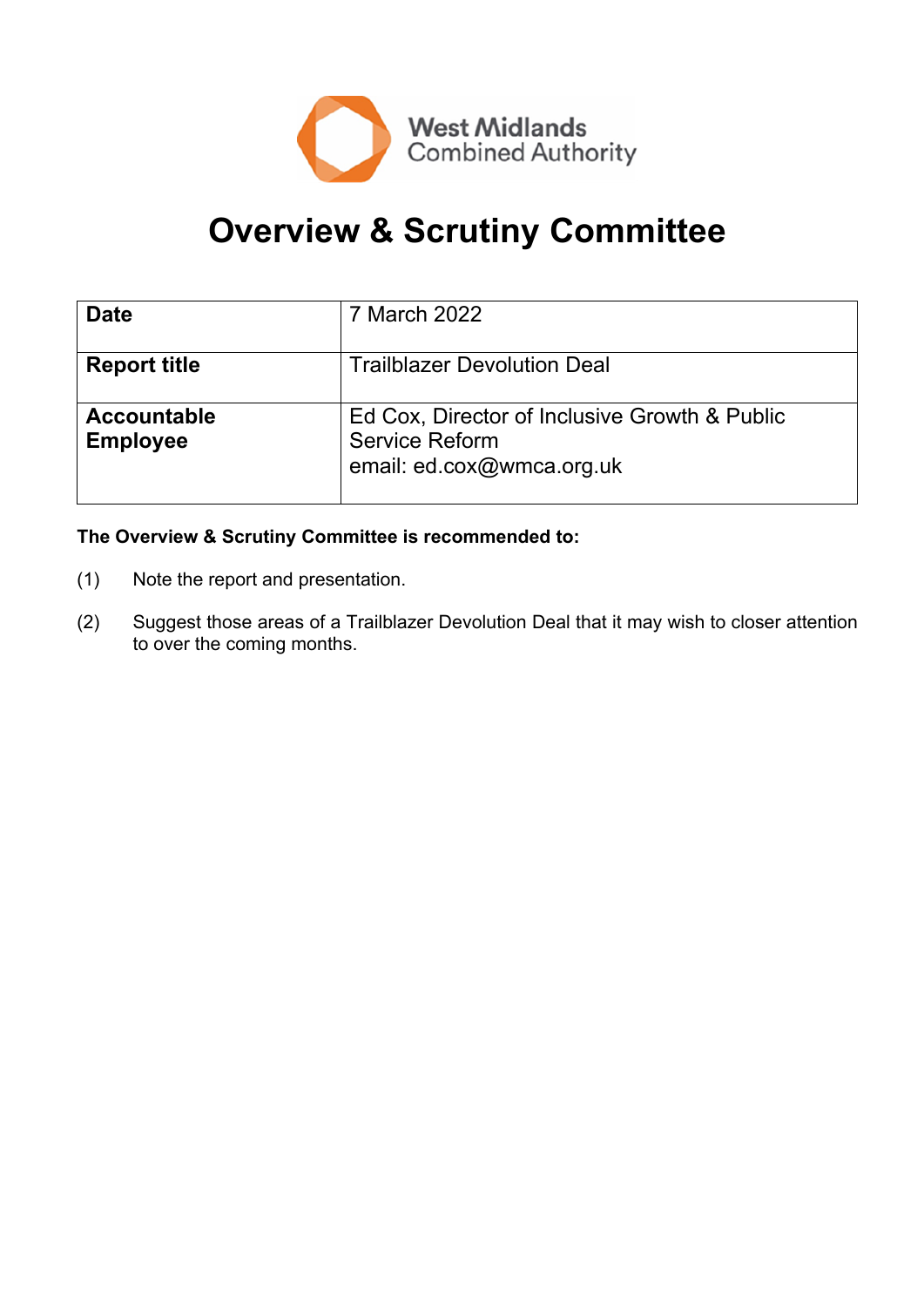

# **Overview & Scrutiny Committee**

| <b>Date</b>                           | 7 March 2022                                                                                        |
|---------------------------------------|-----------------------------------------------------------------------------------------------------|
| <b>Report title</b>                   | <b>Trailblazer Devolution Deal</b>                                                                  |
| <b>Accountable</b><br><b>Employee</b> | Ed Cox, Director of Inclusive Growth & Public<br><b>Service Reform</b><br>email: ed.cox@wmca.org.uk |

## **The Overview & Scrutiny Committee is recommended to:**

- (1) Note the report and presentation.
- (2) Suggest those areas of a Trailblazer Devolution Deal that it may wish to closer attention to over the coming months.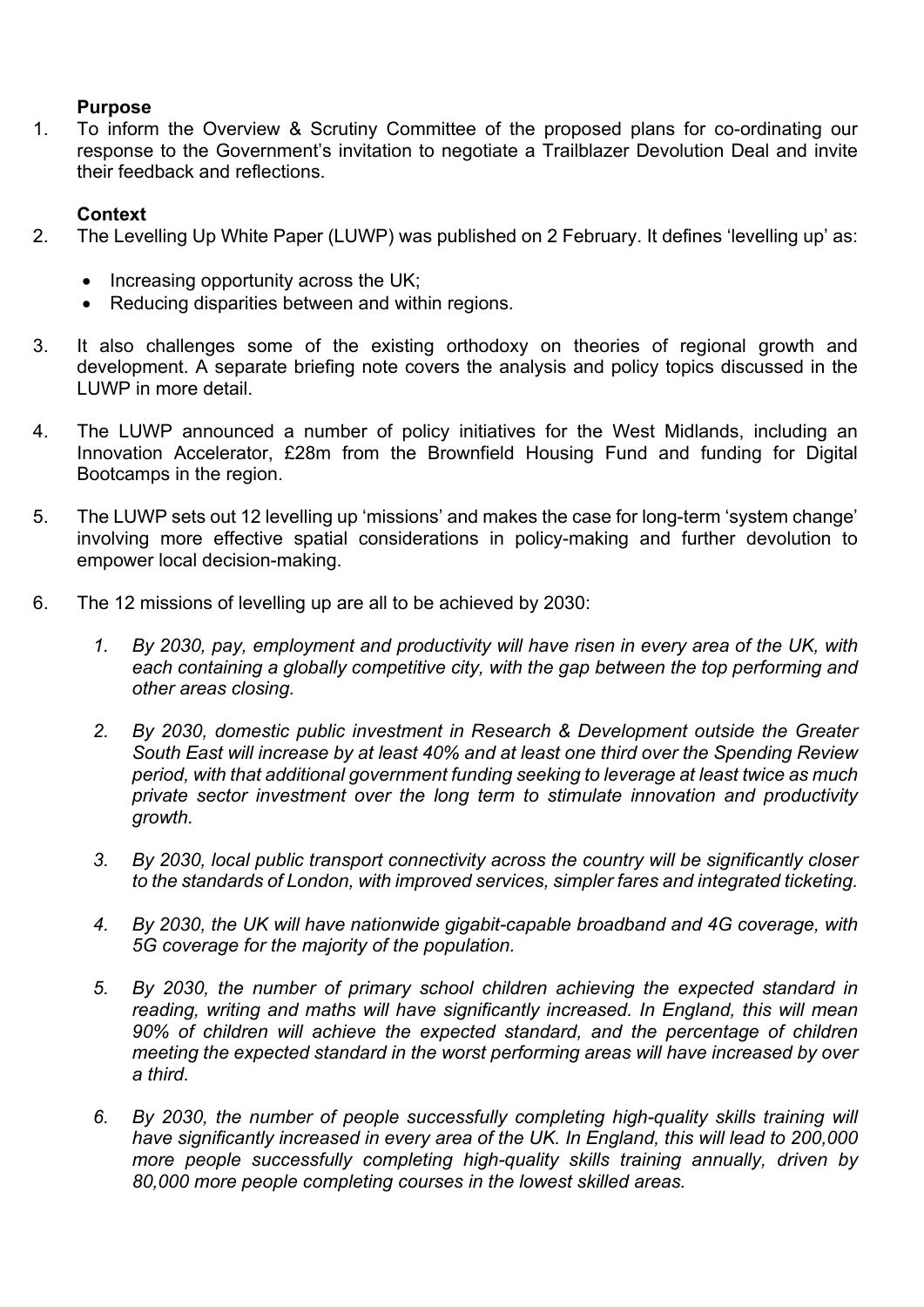## **Purpose**

1. To inform the Overview & Scrutiny Committee of the proposed plans for co-ordinating our response to the Government's invitation to negotiate a Trailblazer Devolution Deal and invite their feedback and reflections.

## **Context**

- 2. The Levelling Up White Paper (LUWP) was published on 2 February. It defines 'levelling up' as:
	- $\bullet$  Increasing opportunity across the UK:
	- Reducing disparities between and within regions.
- 3. It also challenges some of the existing orthodoxy on theories of regional growth and development. A separate briefing note covers the analysis and policy topics discussed in the LUWP in more detail.
- 4. The LUWP announced a number of policy initiatives for the West Midlands, including an Innovation Accelerator, £28m from the Brownfield Housing Fund and funding for Digital Bootcamps in the region.
- 5. The LUWP sets out 12 levelling up 'missions' and makes the case for long-term 'system change' involving more effective spatial considerations in policy-making and further devolution to empower local decision-making.
- 6. The 12 missions of levelling up are all to be achieved by 2030:
	- *1. By 2030, pay, employment and productivity will have risen in every area of the UK, with each containing a globally competitive city, with the gap between the top performing and other areas closing.*
	- *2. By 2030, domestic public investment in Research & Development outside the Greater South East will increase by at least 40% and at least one third over the Spending Review period, with that additional government funding seeking to leverage at least twice as much private sector investment over the long term to stimulate innovation and productivity growth.*
	- *3. By 2030, local public transport connectivity across the country will be significantly closer to the standards of London, with improved services, simpler fares and integrated ticketing.*
	- *4. By 2030, the UK will have nationwide gigabit-capable broadband and 4G coverage, with 5G coverage for the majority of the population.*
	- *5. By 2030, the number of primary school children achieving the expected standard in reading, writing and maths will have significantly increased. In England, this will mean 90% of children will achieve the expected standard, and the percentage of children meeting the expected standard in the worst performing areas will have increased by over a third.*
	- *6. By 2030, the number of people successfully completing high-quality skills training will have significantly increased in every area of the UK. In England, this will lead to 200,000 more people successfully completing high-quality skills training annually, driven by 80,000 more people completing courses in the lowest skilled areas.*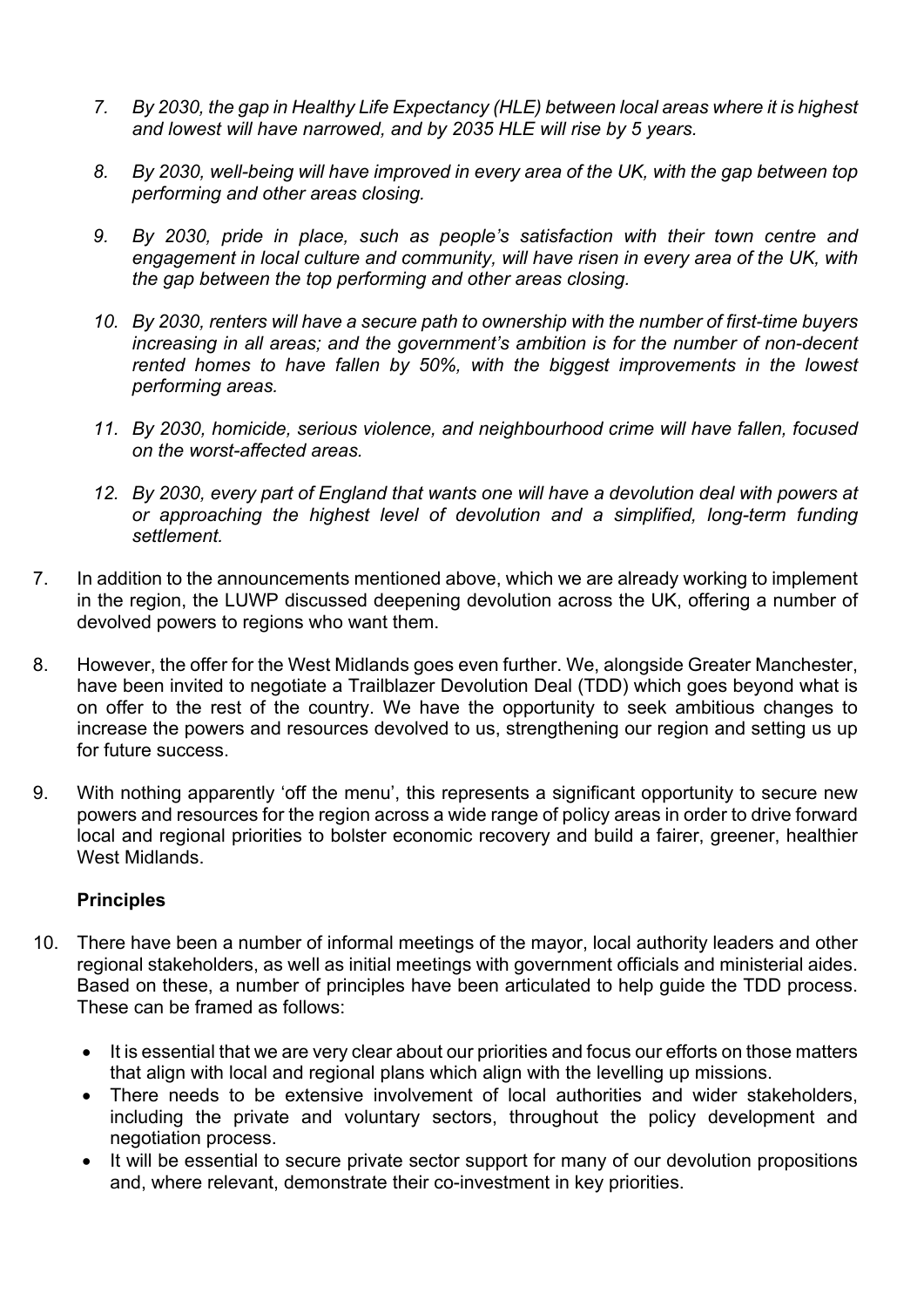- *7. By 2030, the gap in Healthy Life Expectancy (HLE) between local areas where it is highest and lowest will have narrowed, and by 2035 HLE will rise by 5 years.*
- *8. By 2030, well-being will have improved in every area of the UK, with the gap between top performing and other areas closing.*
- *9. By 2030, pride in place, such as people's satisfaction with their town centre and engagement in local culture and community, will have risen in every area of the UK, with the gap between the top performing and other areas closing.*
- *10. By 2030, renters will have a secure path to ownership with the number of first-time buyers increasing in all areas; and the government's ambition is for the number of non-decent rented homes to have fallen by 50%, with the biggest improvements in the lowest performing areas.*
- *11. By 2030, homicide, serious violence, and neighbourhood crime will have fallen, focused on the worst-affected areas.*
- *12. By 2030, every part of England that wants one will have a devolution deal with powers at or approaching the highest level of devolution and a simplified, long-term funding settlement.*
- 7. In addition to the announcements mentioned above, which we are already working to implement in the region, the LUWP discussed deepening devolution across the UK, offering a number of devolved powers to regions who want them.
- 8. However, the offer for the West Midlands goes even further. We, alongside Greater Manchester, have been invited to negotiate a Trailblazer Devolution Deal (TDD) which goes beyond what is on offer to the rest of the country. We have the opportunity to seek ambitious changes to increase the powers and resources devolved to us, strengthening our region and setting us up for future success.
- 9. With nothing apparently 'off the menu', this represents a significant opportunity to secure new powers and resources for the region across a wide range of policy areas in order to drive forward local and regional priorities to bolster economic recovery and build a fairer, greener, healthier West Midlands.

#### **Principles**

- 10. There have been a number of informal meetings of the mayor, local authority leaders and other regional stakeholders, as well as initial meetings with government officials and ministerial aides. Based on these, a number of principles have been articulated to help guide the TDD process. These can be framed as follows:
	- It is essential that we are very clear about our priorities and focus our efforts on those matters that align with local and regional plans which align with the levelling up missions.
	- There needs to be extensive involvement of local authorities and wider stakeholders, including the private and voluntary sectors, throughout the policy development and negotiation process.
	- It will be essential to secure private sector support for many of our devolution propositions and, where relevant, demonstrate their co-investment in key priorities.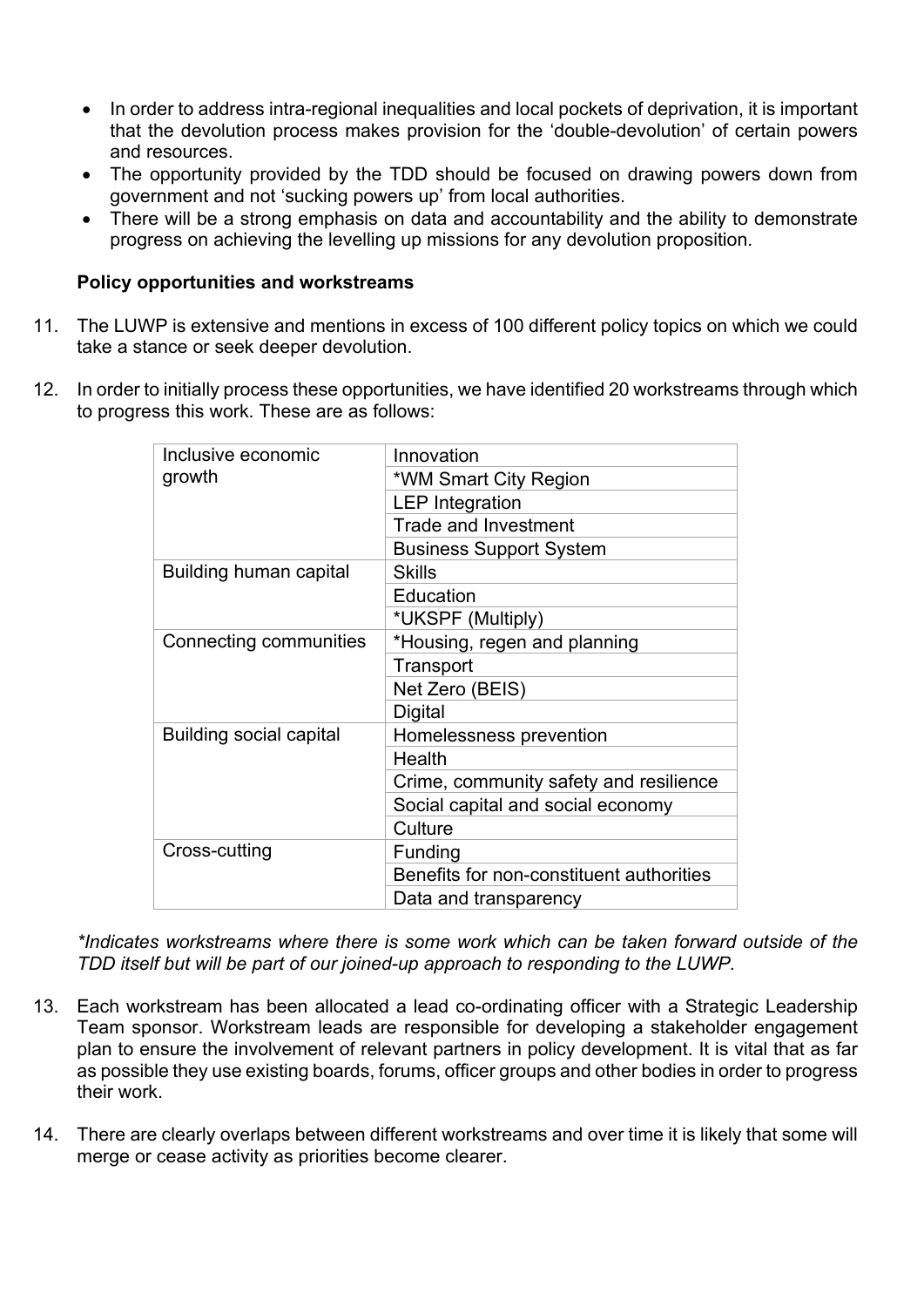- In order to address intra-regional inequalities and local pockets of deprivation, it is important that the devolution process makes provision for the 'double-devolution' of certain powers and resources.
- The opportunity provided by the TDD should be focused on drawing powers down from government and not 'sucking powers up' from local authorities.
- There will be a strong emphasis on data and accountability and the ability to demonstrate progress on achieving the levelling up missions for any devolution proposition.

#### **Policy opportunities and workstreams**

- 11. The LUWP is extensive and mentions in excess of 100 different policy topics on which we could take a stance or seek deeper devolution.
- 12. In order to initially process these opportunities, we have identified 20 workstreams through which to progress this work. These are as follows:

| Inclusive economic<br>growth   | Innovation                               |
|--------------------------------|------------------------------------------|
|                                | *WM Smart City Region                    |
|                                | <b>LEP</b> Integration                   |
|                                | <b>Trade and Investment</b>              |
|                                | <b>Business Support System</b>           |
| Building human capital         | <b>Skills</b>                            |
|                                | Education                                |
|                                | *UKSPF (Multiply)                        |
| Connecting communities         | *Housing, regen and planning             |
|                                | Transport                                |
|                                | Net Zero (BEIS)                          |
|                                | Digital                                  |
| <b>Building social capital</b> | Homelessness prevention                  |
|                                | Health                                   |
|                                | Crime, community safety and resilience   |
|                                | Social capital and social economy        |
|                                | Culture                                  |
| Cross-cutting                  | Funding                                  |
|                                | Benefits for non-constituent authorities |
|                                | Data and transparency                    |

*\*Indicates workstreams where there is some work which can be taken forward outside of the TDD itself but will be part of our joined-up approach to responding to the LUWP.*

- 13. Each workstream has been allocated a lead co-ordinating officer with a Strategic Leadership Team sponsor. Workstream leads are responsible for developing a stakeholder engagement plan to ensure the involvement of relevant partners in policy development. It is vital that as far as possible they use existing boards, forums, officer groups and other bodies in order to progress their work.
- 14. There are clearly overlaps between different workstreams and over time it is likely that some will merge or cease activity as priorities become clearer.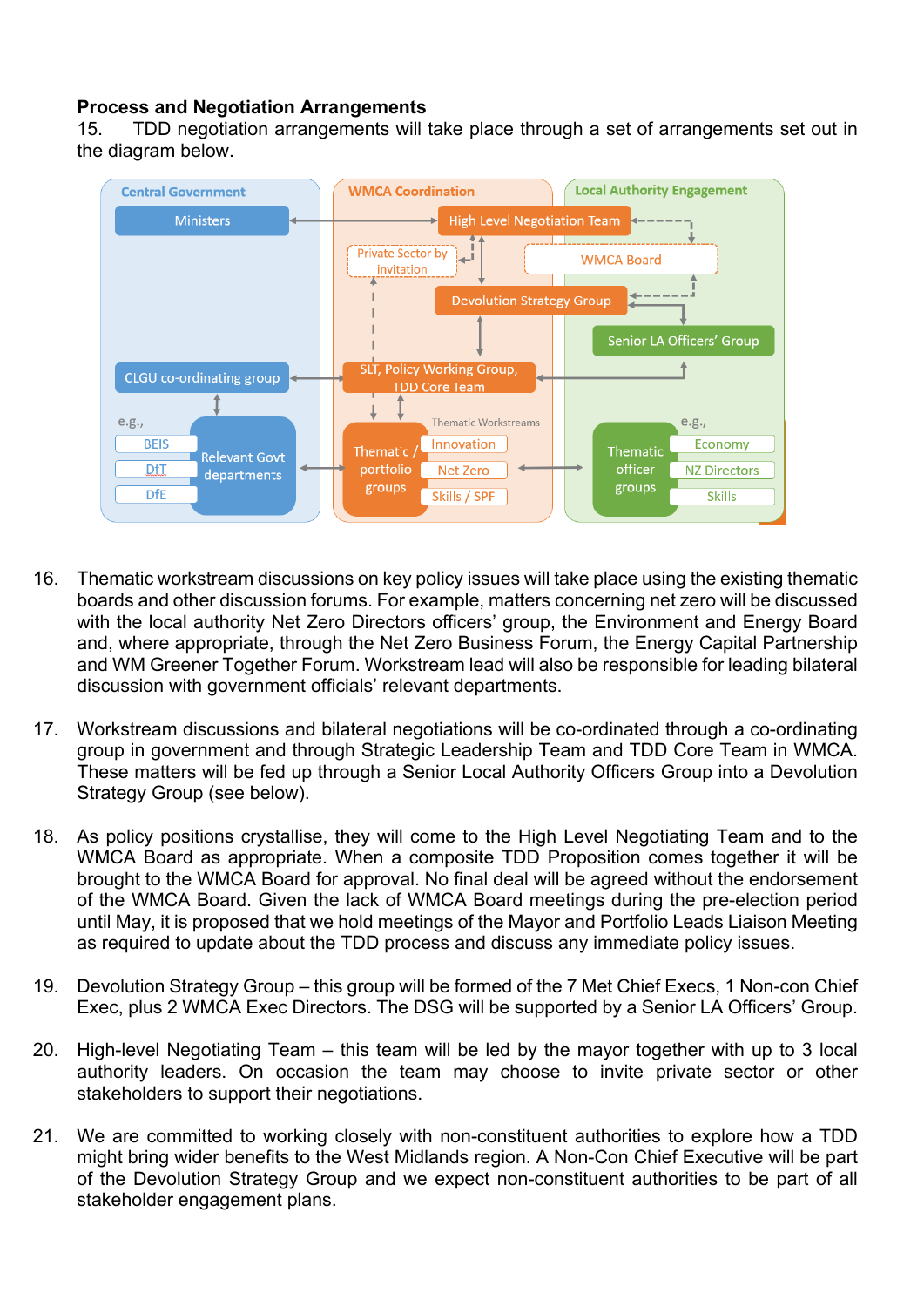## **Process and Negotiation Arrangements**

15. TDD negotiation arrangements will take place through a set of arrangements set out in the diagram below.



- 16. Thematic workstream discussions on key policy issues will take place using the existing thematic boards and other discussion forums. For example, matters concerning net zero will be discussed with the local authority Net Zero Directors officers' group, the Environment and Energy Board and, where appropriate, through the Net Zero Business Forum, the Energy Capital Partnership and WM Greener Together Forum. Workstream lead will also be responsible for leading bilateral discussion with government officials' relevant departments.
- 17. Workstream discussions and bilateral negotiations will be co-ordinated through a co-ordinating group in government and through Strategic Leadership Team and TDD Core Team in WMCA. These matters will be fed up through a Senior Local Authority Officers Group into a Devolution Strategy Group (see below).
- 18. As policy positions crystallise, they will come to the High Level Negotiating Team and to the WMCA Board as appropriate. When a composite TDD Proposition comes together it will be brought to the WMCA Board for approval. No final deal will be agreed without the endorsement of the WMCA Board. Given the lack of WMCA Board meetings during the pre-election period until May, it is proposed that we hold meetings of the Mayor and Portfolio Leads Liaison Meeting as required to update about the TDD process and discuss any immediate policy issues.
- 19. Devolution Strategy Group this group will be formed of the 7 Met Chief Execs, 1 Non-con Chief Exec, plus 2 WMCA Exec Directors. The DSG will be supported by a Senior LA Officers' Group.
- 20. High-level Negotiating Team this team will be led by the mayor together with up to 3 local authority leaders. On occasion the team may choose to invite private sector or other stakeholders to support their negotiations.
- 21. We are committed to working closely with non-constituent authorities to explore how a TDD might bring wider benefits to the West Midlands region. A Non-Con Chief Executive will be part of the Devolution Strategy Group and we expect non-constituent authorities to be part of all stakeholder engagement plans.